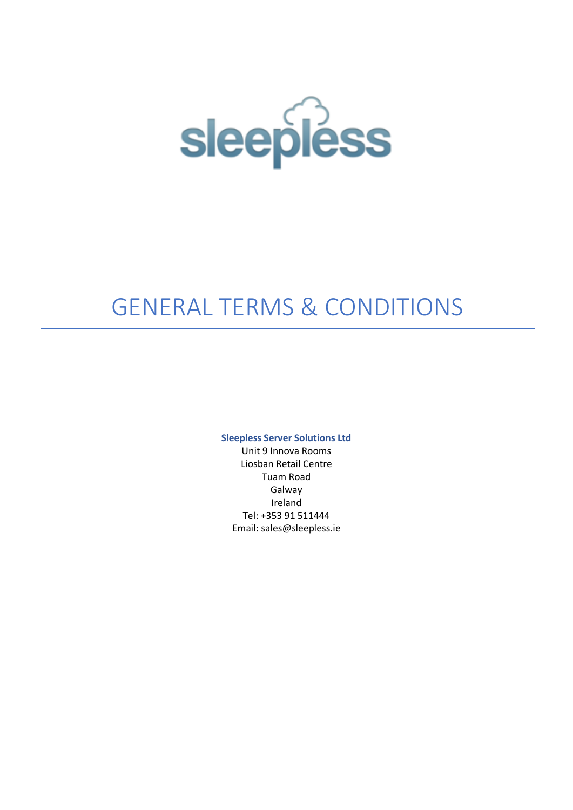

# GENERAL TERMS & CONDITIONS

**Sleepless Server Solutions Ltd**

Unit 9 Innova Rooms Liosban Retail Centre Tuam Road Galway Ireland Tel: +353 91 511444 Email: sales@sleepless.ie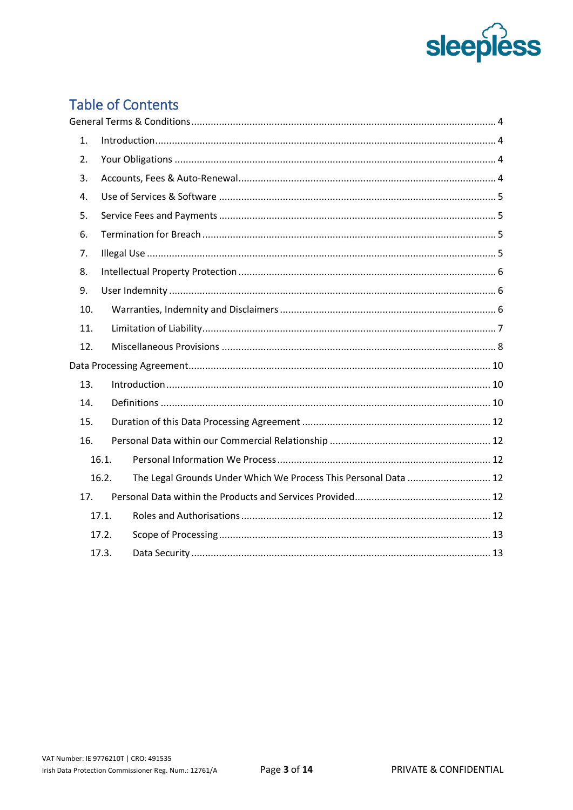

# **Table of Contents**

| 1.  |                                                                          |
|-----|--------------------------------------------------------------------------|
| 2.  |                                                                          |
| 3.  |                                                                          |
| 4.  |                                                                          |
| 5.  |                                                                          |
| 6.  |                                                                          |
| 7.  |                                                                          |
| 8.  |                                                                          |
| 9.  |                                                                          |
| 10. |                                                                          |
| 11. |                                                                          |
| 12. |                                                                          |
|     |                                                                          |
| 13. |                                                                          |
| 14. |                                                                          |
| 15. |                                                                          |
| 16. |                                                                          |
|     | 16.1.                                                                    |
|     | The Legal Grounds Under Which We Process This Personal Data  12<br>16.2. |
| 17. |                                                                          |
|     | 17.1.                                                                    |
|     | 17.2.                                                                    |
|     | 17.3.                                                                    |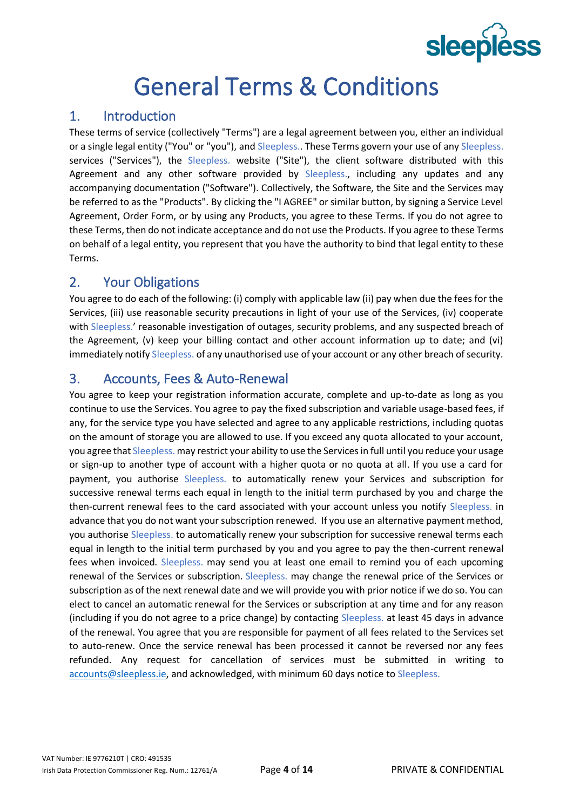# **sleepless**

# General Terms & Conditions

# <span id="page-2-1"></span><span id="page-2-0"></span>1. Introduction

These terms of service (collectively "Terms") are a legal agreement between you, either an individual or a single legal entity ("You" or "you"), and Sleepless. These Terms govern your use of any Sleepless. services ("Services"), the Sleepless. website ("Site"), the client software distributed with this Agreement and any other software provided by Sleepless., including any updates and any accompanying documentation ("Software"). Collectively, the Software, the Site and the Services may be referred to as the "Products". By clicking the "I AGREE" or similar button, by signing a Service Level Agreement, Order Form, or by using any Products, you agree to these Terms. If you do not agree to these Terms, then do not indicate acceptance and do not use the Products. If you agree to these Terms on behalf of a legal entity, you represent that you have the authority to bind that legal entity to these Terms.

# <span id="page-2-2"></span>2. Your Obligations

You agree to do each of the following: (i) comply with applicable law (ii) pay when due the fees for the Services, (iii) use reasonable security precautions in light of your use of the Services, (iv) cooperate with Sleepless.' reasonable investigation of outages, security problems, and any suspected breach of the Agreement, (v) keep your billing contact and other account information up to date; and (vi) immediately notify Sleepless. of any unauthorised use of your account or any other breach of security.

# <span id="page-2-3"></span>3. Accounts, Fees & Auto-Renewal

You agree to keep your registration information accurate, complete and up-to-date as long as you continue to use the Services. You agree to pay the fixed subscription and variable usage-based fees, if any, for the service type you have selected and agree to any applicable restrictions, including quotas on the amount of storage you are allowed to use. If you exceed any quota allocated to your account, you agree that Sleepless. may restrict your ability to use the Services in full until you reduce your usage or sign-up to another type of account with a higher quota or no quota at all. If you use a card for payment, you authorise Sleepless. to automatically renew your Services and subscription for successive renewal terms each equal in length to the initial term purchased by you and charge the then-current renewal fees to the card associated with your account unless you notify Sleepless. in advance that you do not want your subscription renewed. If you use an alternative payment method, you authorise Sleepless. to automatically renew your subscription for successive renewal terms each equal in length to the initial term purchased by you and you agree to pay the then-current renewal fees when invoiced. Sleepless. may send you at least one email to remind you of each upcoming renewal of the Services or subscription. Sleepless. may change the renewal price of the Services or subscription as of the next renewal date and we will provide you with prior notice if we do so. You can elect to cancel an automatic renewal for the Services or subscription at any time and for any reason (including if you do not agree to a price change) by contacting Sleepless. at least 45 days in advance of the renewal. You agree that you are responsible for payment of all fees related to the Services set to auto-renew. Once the service renewal has been processed it cannot be reversed nor any fees refunded. Any request for cancellation of services must be submitted in writing to [accounts@sleepless.ie,](mailto:accounts@sleepless.ie) and acknowledged, with minimum 60 days notice to Sleepless.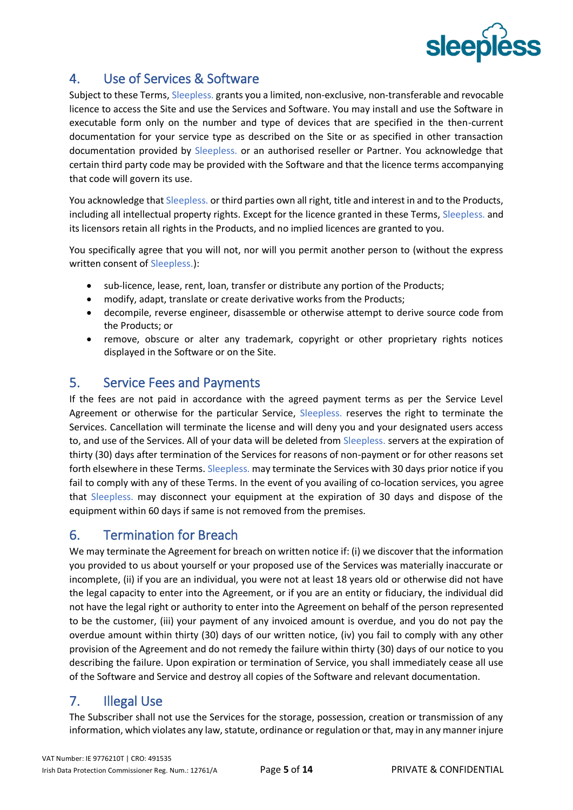

# <span id="page-3-0"></span>4. Use of Services & Software

Subject to these Terms, Sleepless. grants you a limited, non-exclusive, non-transferable and revocable licence to access the Site and use the Services and Software. You may install and use the Software in executable form only on the number and type of devices that are specified in the then-current documentation for your service type as described on the Site or as specified in other transaction documentation provided by Sleepless. or an authorised reseller or Partner. You acknowledge that certain third party code may be provided with the Software and that the licence terms accompanying that code will govern its use.

You acknowledge that Sleepless. or third parties own all right, title and interest in and to the Products, including all intellectual property rights. Except for the licence granted in these Terms, Sleepless. and its licensors retain all rights in the Products, and no implied licences are granted to you.

You specifically agree that you will not, nor will you permit another person to (without the express written consent of Sleepless.):

- sub-licence, lease, rent, loan, transfer or distribute any portion of the Products;
- modify, adapt, translate or create derivative works from the Products;
- decompile, reverse engineer, disassemble or otherwise attempt to derive source code from the Products; or
- remove, obscure or alter any trademark, copyright or other proprietary rights notices displayed in the Software or on the Site.

### <span id="page-3-1"></span>5. Service Fees and Payments

If the fees are not paid in accordance with the agreed payment terms as per the Service Level Agreement or otherwise for the particular Service, Sleepless. reserves the right to terminate the Services. Cancellation will terminate the license and will deny you and your designated users access to, and use of the Services. All of your data will be deleted from Sleepless. servers at the expiration of thirty (30) days after termination of the Services for reasons of non-payment or for other reasons set forth elsewhere in these Terms. Sleepless, may terminate the Services with 30 days prior notice if you fail to comply with any of these Terms. In the event of you availing of co-location services, you agree that Sleepless. may disconnect your equipment at the expiration of 30 days and dispose of the equipment within 60 days if same is not removed from the premises.

# <span id="page-3-2"></span>6. Termination for Breach

We may terminate the Agreement for breach on written notice if: (i) we discover that the information you provided to us about yourself or your proposed use of the Services was materially inaccurate or incomplete, (ii) if you are an individual, you were not at least 18 years old or otherwise did not have the legal capacity to enter into the Agreement, or if you are an entity or fiduciary, the individual did not have the legal right or authority to enter into the Agreement on behalf of the person represented to be the customer, (iii) your payment of any invoiced amount is overdue, and you do not pay the overdue amount within thirty (30) days of our written notice, (iv) you fail to comply with any other provision of the Agreement and do not remedy the failure within thirty (30) days of our notice to you describing the failure. Upon expiration or termination of Service, you shall immediately cease all use of the Software and Service and destroy all copies of the Software and relevant documentation.

# <span id="page-3-3"></span>7. Illegal Use

The Subscriber shall not use the Services for the storage, possession, creation or transmission of any information, which violates any law, statute, ordinance or regulation or that, may in any manner injure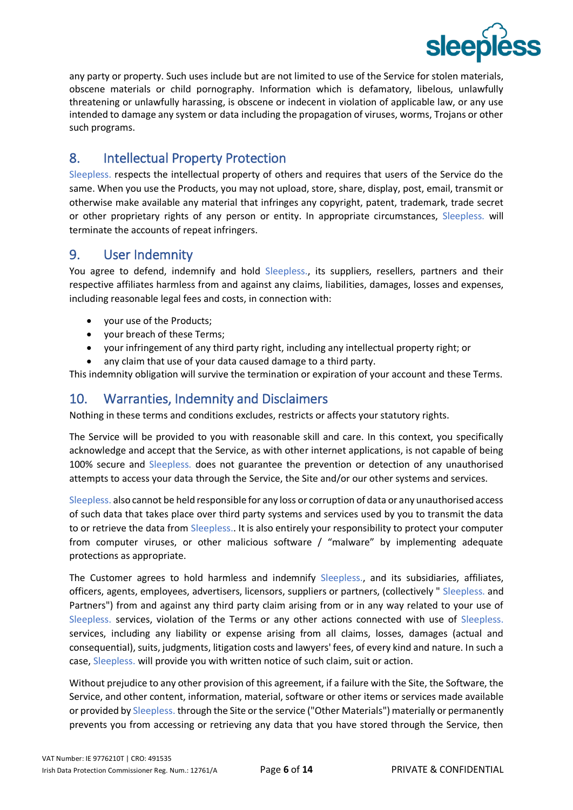

any party or property. Such uses include but are not limited to use of the Service for stolen materials, obscene materials or child pornography. Information which is defamatory, libelous, unlawfully threatening or unlawfully harassing, is obscene or indecent in violation of applicable law, or any use intended to damage any system or data including the propagation of viruses, worms, Trojans or other such programs.

# <span id="page-4-0"></span>8. Intellectual Property Protection

Sleepless. respects the intellectual property of others and requires that users of the Service do the same. When you use the Products, you may not upload, store, share, display, post, email, transmit or otherwise make available any material that infringes any copyright, patent, trademark, trade secret or other proprietary rights of any person or entity. In appropriate circumstances, Sleepless. will terminate the accounts of repeat infringers.

#### <span id="page-4-1"></span>9. User Indemnity

You agree to defend, indemnify and hold Sleepless., its suppliers, resellers, partners and their respective affiliates harmless from and against any claims, liabilities, damages, losses and expenses, including reasonable legal fees and costs, in connection with:

- your use of the Products;
- your breach of these Terms;
- your infringement of any third party right, including any intellectual property right; or
- any claim that use of your data caused damage to a third party.

This indemnity obligation will survive the termination or expiration of your account and these Terms.

#### <span id="page-4-2"></span>10. Warranties, Indemnity and Disclaimers

Nothing in these terms and conditions excludes, restricts or affects your statutory rights.

The Service will be provided to you with reasonable skill and care. In this context, you specifically acknowledge and accept that the Service, as with other internet applications, is not capable of being 100% secure and Sleepless. does not guarantee the prevention or detection of any unauthorised attempts to access your data through the Service, the Site and/or our other systems and services.

Sleepless. also cannot be held responsible for any loss or corruption of data or any unauthorised access of such data that takes place over third party systems and services used by you to transmit the data to or retrieve the data from Sleepless.. It is also entirely your responsibility to protect your computer from computer viruses, or other malicious software / "malware" by implementing adequate protections as appropriate.

The Customer agrees to hold harmless and indemnify Sleepless., and its subsidiaries, affiliates, officers, agents, employees, advertisers, licensors, suppliers or partners, (collectively " Sleepless. and Partners") from and against any third party claim arising from or in any way related to your use of Sleepless. services, violation of the Terms or any other actions connected with use of Sleepless. services, including any liability or expense arising from all claims, losses, damages (actual and consequential), suits, judgments, litigation costs and lawyers' fees, of every kind and nature. In such a case, Sleepless. will provide you with written notice of such claim, suit or action.

Without prejudice to any other provision of this agreement, if a failure with the Site, the Software, the Service, and other content, information, material, software or other items or services made available or provided by Sleepless. through the Site or the service ("Other Materials") materially or permanently prevents you from accessing or retrieving any data that you have stored through the Service, then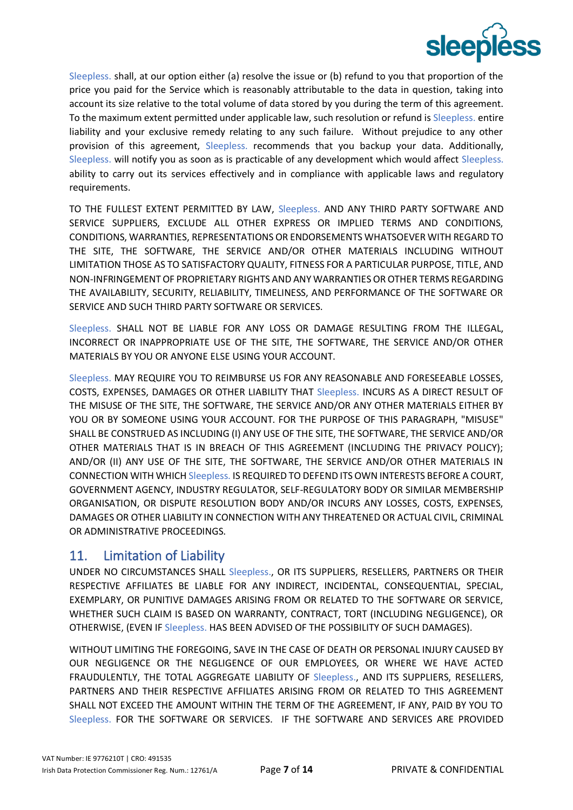

Sleepless. shall, at our option either (a) resolve the issue or (b) refund to you that proportion of the price you paid for the Service which is reasonably attributable to the data in question, taking into account its size relative to the total volume of data stored by you during the term of this agreement. To the maximum extent permitted under applicable law, such resolution or refund is Sleepless. entire liability and your exclusive remedy relating to any such failure. Without prejudice to any other provision of this agreement, Sleepless. recommends that you backup your data. Additionally, Sleepless. will notify you as soon as is practicable of any development which would affect Sleepless. ability to carry out its services effectively and in compliance with applicable laws and regulatory requirements.

TO THE FULLEST EXTENT PERMITTED BY LAW, Sleepless. AND ANY THIRD PARTY SOFTWARE AND SERVICE SUPPLIERS, EXCLUDE ALL OTHER EXPRESS OR IMPLIED TERMS AND CONDITIONS, CONDITIONS, WARRANTIES, REPRESENTATIONS OR ENDORSEMENTS WHATSOEVER WITH REGARD TO THE SITE, THE SOFTWARE, THE SERVICE AND/OR OTHER MATERIALS INCLUDING WITHOUT LIMITATION THOSE AS TO SATISFACTORY QUALITY, FITNESS FOR A PARTICULAR PURPOSE, TITLE, AND NON-INFRINGEMENT OF PROPRIETARY RIGHTS AND ANY WARRANTIES OR OTHER TERMS REGARDING THE AVAILABILITY, SECURITY, RELIABILITY, TIMELINESS, AND PERFORMANCE OF THE SOFTWARE OR SERVICE AND SUCH THIRD PARTY SOFTWARE OR SERVICES.

Sleepless. SHALL NOT BE LIABLE FOR ANY LOSS OR DAMAGE RESULTING FROM THE ILLEGAL, INCORRECT OR INAPPROPRIATE USE OF THE SITE, THE SOFTWARE, THE SERVICE AND/OR OTHER MATERIALS BY YOU OR ANYONE ELSE USING YOUR ACCOUNT.

Sleepless. MAY REQUIRE YOU TO REIMBURSE US FOR ANY REASONABLE AND FORESEEABLE LOSSES, COSTS, EXPENSES, DAMAGES OR OTHER LIABILITY THAT Sleepless. INCURS AS A DIRECT RESULT OF THE MISUSE OF THE SITE, THE SOFTWARE, THE SERVICE AND/OR ANY OTHER MATERIALS EITHER BY YOU OR BY SOMEONE USING YOUR ACCOUNT. FOR THE PURPOSE OF THIS PARAGRAPH, "MISUSE" SHALL BE CONSTRUED AS INCLUDING (I) ANY USE OF THE SITE, THE SOFTWARE, THE SERVICE AND/OR OTHER MATERIALS THAT IS IN BREACH OF THIS AGREEMENT (INCLUDING THE PRIVACY POLICY); AND/OR (II) ANY USE OF THE SITE, THE SOFTWARE, THE SERVICE AND/OR OTHER MATERIALS IN CONNECTION WITH WHICH Sleepless. IS REQUIRED TO DEFEND ITS OWN INTERESTS BEFORE A COURT, GOVERNMENT AGENCY, INDUSTRY REGULATOR, SELF-REGULATORY BODY OR SIMILAR MEMBERSHIP ORGANISATION, OR DISPUTE RESOLUTION BODY AND/OR INCURS ANY LOSSES, COSTS, EXPENSES, DAMAGES OR OTHER LIABILITY IN CONNECTION WITH ANY THREATENED OR ACTUAL CIVIL, CRIMINAL OR ADMINISTRATIVE PROCEEDINGS.

#### <span id="page-5-0"></span>11. Limitation of Liability

UNDER NO CIRCUMSTANCES SHALL Sleepless., OR ITS SUPPLIERS, RESELLERS, PARTNERS OR THEIR RESPECTIVE AFFILIATES BE LIABLE FOR ANY INDIRECT, INCIDENTAL, CONSEQUENTIAL, SPECIAL, EXEMPLARY, OR PUNITIVE DAMAGES ARISING FROM OR RELATED TO THE SOFTWARE OR SERVICE, WHETHER SUCH CLAIM IS BASED ON WARRANTY, CONTRACT, TORT (INCLUDING NEGLIGENCE), OR OTHERWISE, (EVEN IF Sleepless. HAS BEEN ADVISED OF THE POSSIBILITY OF SUCH DAMAGES).

WITHOUT LIMITING THE FOREGOING, SAVE IN THE CASE OF DEATH OR PERSONAL INJURY CAUSED BY OUR NEGLIGENCE OR THE NEGLIGENCE OF OUR EMPLOYEES, OR WHERE WE HAVE ACTED FRAUDULENTLY, THE TOTAL AGGREGATE LIABILITY OF Sleepless., AND ITS SUPPLIERS, RESELLERS, PARTNERS AND THEIR RESPECTIVE AFFILIATES ARISING FROM OR RELATED TO THIS AGREEMENT SHALL NOT EXCEED THE AMOUNT WITHIN THE TERM OF THE AGREEMENT, IF ANY, PAID BY YOU TO Sleepless. FOR THE SOFTWARE OR SERVICES. IF THE SOFTWARE AND SERVICES ARE PROVIDED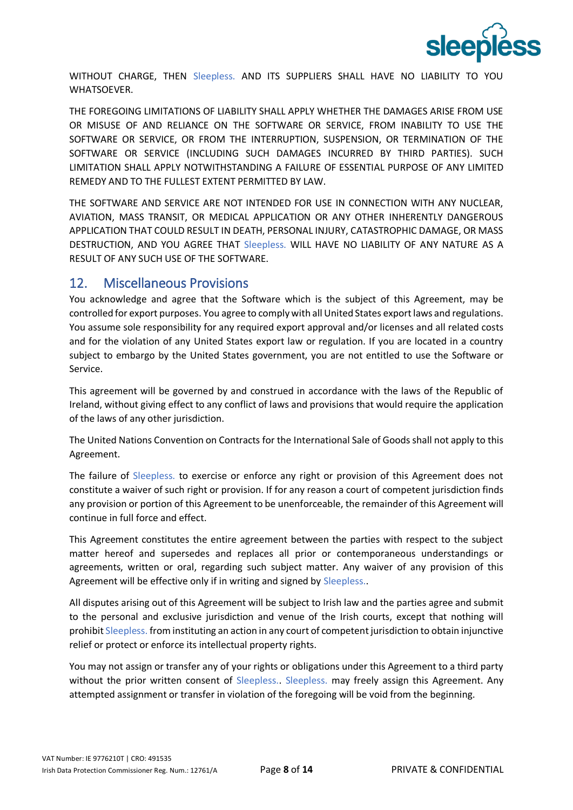

WITHOUT CHARGE, THEN Sleepless. AND ITS SUPPLIERS SHALL HAVE NO LIABILITY TO YOU WHATSOEVER.

THE FOREGOING LIMITATIONS OF LIABILITY SHALL APPLY WHETHER THE DAMAGES ARISE FROM USE OR MISUSE OF AND RELIANCE ON THE SOFTWARE OR SERVICE, FROM INABILITY TO USE THE SOFTWARE OR SERVICE, OR FROM THE INTERRUPTION, SUSPENSION, OR TERMINATION OF THE SOFTWARE OR SERVICE (INCLUDING SUCH DAMAGES INCURRED BY THIRD PARTIES). SUCH LIMITATION SHALL APPLY NOTWITHSTANDING A FAILURE OF ESSENTIAL PURPOSE OF ANY LIMITED REMEDY AND TO THE FULLEST EXTENT PERMITTED BY LAW.

THE SOFTWARE AND SERVICE ARE NOT INTENDED FOR USE IN CONNECTION WITH ANY NUCLEAR, AVIATION, MASS TRANSIT, OR MEDICAL APPLICATION OR ANY OTHER INHERENTLY DANGEROUS APPLICATION THAT COULD RESULT IN DEATH, PERSONAL INJURY, CATASTROPHIC DAMAGE, OR MASS DESTRUCTION, AND YOU AGREE THAT Sleepless. WILL HAVE NO LIABILITY OF ANY NATURE AS A RESULT OF ANY SUCH USE OF THE SOFTWARE.

#### <span id="page-6-0"></span>12. Miscellaneous Provisions

You acknowledge and agree that the Software which is the subject of this Agreement, may be controlled for export purposes. You agree to comply with all United States export laws and regulations. You assume sole responsibility for any required export approval and/or licenses and all related costs and for the violation of any United States export law or regulation. If you are located in a country subject to embargo by the United States government, you are not entitled to use the Software or Service.

This agreement will be governed by and construed in accordance with the laws of the Republic of Ireland, without giving effect to any conflict of laws and provisions that would require the application of the laws of any other jurisdiction.

The United Nations Convention on Contracts for the International Sale of Goods shall not apply to this Agreement.

The failure of Sleepless. to exercise or enforce any right or provision of this Agreement does not constitute a waiver of such right or provision. If for any reason a court of competent jurisdiction finds any provision or portion of this Agreement to be unenforceable, the remainder of this Agreement will continue in full force and effect.

This Agreement constitutes the entire agreement between the parties with respect to the subject matter hereof and supersedes and replaces all prior or contemporaneous understandings or agreements, written or oral, regarding such subject matter. Any waiver of any provision of this Agreement will be effective only if in writing and signed by Sleepless..

All disputes arising out of this Agreement will be subject to Irish law and the parties agree and submit to the personal and exclusive jurisdiction and venue of the Irish courts, except that nothing will prohibit Sleepless. from instituting an action in any court of competent jurisdiction to obtain injunctive relief or protect or enforce its intellectual property rights.

You may not assign or transfer any of your rights or obligations under this Agreement to a third party without the prior written consent of Sleepless. Sleepless. may freely assign this Agreement. Any attempted assignment or transfer in violation of the foregoing will be void from the beginning.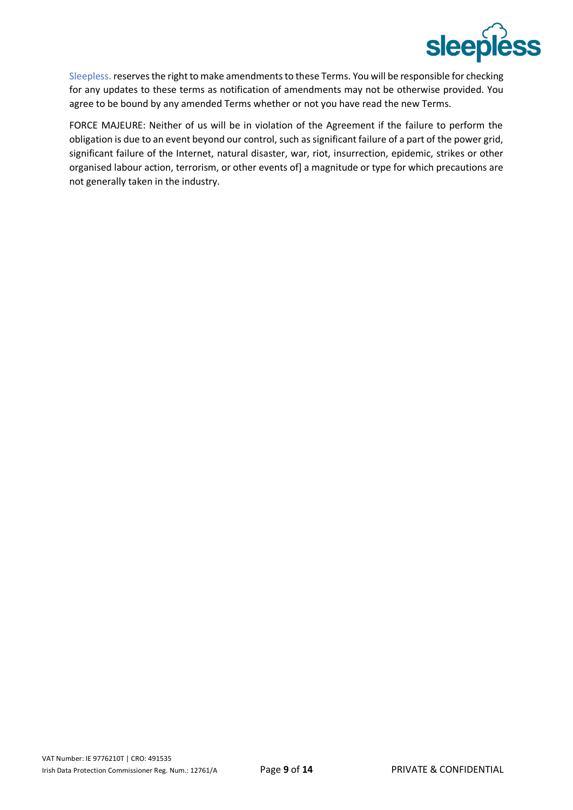

Sleepless. reserves the right to make amendments to these Terms. You will be responsible for checking for any updates to these terms as notification of amendments may not be otherwise provided. You agree to be bound by any amended Terms whether or not you have read the new Terms.

FORCE MAJEURE: Neither of us will be in violation of the Agreement if the failure to perform the obligation is due to an event beyond our control, such as significant failure of a part of the power grid, significant failure of the Internet, natural disaster, war, riot, insurrection, epidemic, strikes or other organised labour action, terrorism, or other events of] a magnitude or type for which precautions are not generally taken in the industry.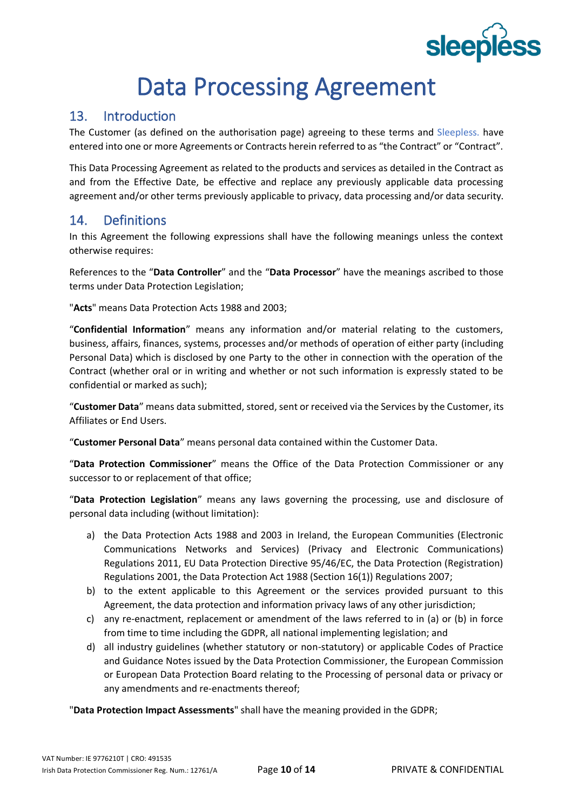# **sleepléss**

# Data Processing Agreement

### <span id="page-8-1"></span><span id="page-8-0"></span>13. Introduction

The Customer (as defined on the authorisation page) agreeing to these terms and Sleepless. have entered into one or more Agreements or Contracts herein referred to as "the Contract" or "Contract".

This Data Processing Agreement as related to the products and services as detailed in the Contract as and from the Effective Date, be effective and replace any previously applicable data processing agreement and/or other terms previously applicable to privacy, data processing and/or data security.

### <span id="page-8-2"></span>14. Definitions

In this Agreement the following expressions shall have the following meanings unless the context otherwise requires:

References to the "**Data Controller**" and the "**Data Processor**" have the meanings ascribed to those terms under Data Protection Legislation;

"**Acts**" means Data Protection Acts 1988 and 2003;

"**Confidential Information**" means any information and/or material relating to the customers, business, affairs, finances, systems, processes and/or methods of operation of either party (including Personal Data) which is disclosed by one Party to the other in connection with the operation of the Contract (whether oral or in writing and whether or not such information is expressly stated to be confidential or marked as such);

"**Customer Data**" means data submitted, stored, sent or received via the Services by the Customer, its Affiliates or End Users.

"**Customer Personal Data**" means personal data contained within the Customer Data.

"**Data Protection Commissioner**" means the Office of the Data Protection Commissioner or any successor to or replacement of that office;

"**Data Protection Legislation**" means any laws governing the processing, use and disclosure of personal data including (without limitation):

- a) the Data Protection Acts 1988 and 2003 in Ireland, the European Communities (Electronic Communications Networks and Services) (Privacy and Electronic Communications) Regulations 2011, EU Data Protection Directive 95/46/EC, the Data Protection (Registration) Regulations 2001, the Data Protection Act 1988 (Section 16(1)) Regulations 2007;
- b) to the extent applicable to this Agreement or the services provided pursuant to this Agreement, the data protection and information privacy laws of any other jurisdiction;
- c) any re-enactment, replacement or amendment of the laws referred to in (a) or (b) in force from time to time including the GDPR, all national implementing legislation; and
- d) all industry guidelines (whether statutory or non-statutory) or applicable Codes of Practice and Guidance Notes issued by the Data Protection Commissioner, the European Commission or European Data Protection Board relating to the Processing of personal data or privacy or any amendments and re-enactments thereof;

"**Data Protection Impact Assessments**" shall have the meaning provided in the GDPR;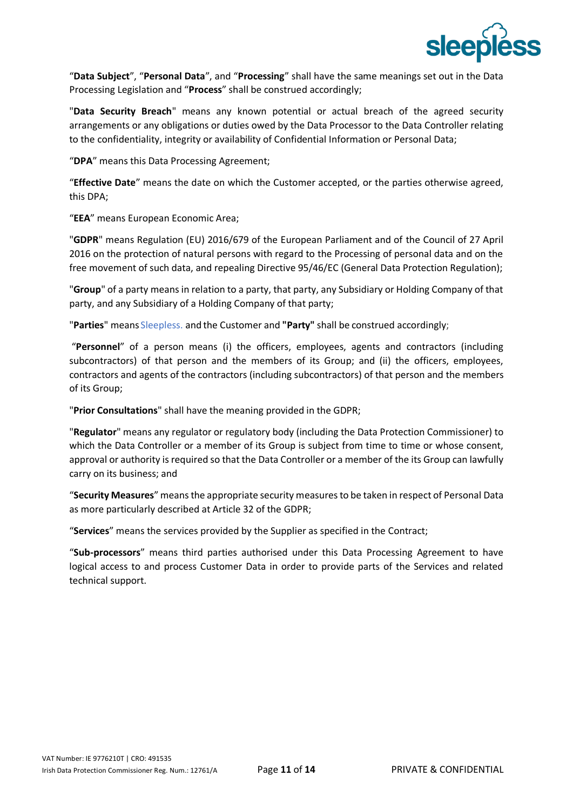

"**Data Subject**", "**Personal Data**", and "**Processing**" shall have the same meanings set out in the Data Processing Legislation and "**Process**" shall be construed accordingly;

"**Data Security Breach**" means any known potential or actual breach of the agreed security arrangements or any obligations or duties owed by the Data Processor to the Data Controller relating to the confidentiality, integrity or availability of Confidential Information or Personal Data;

"**DPA**" means this Data Processing Agreement;

"**Effective Date**" means the date on which the Customer accepted, or the parties otherwise agreed, this DPA;

"**EEA**" means European Economic Area;

"**GDPR**" means Regulation (EU) 2016/679 of the European Parliament and of the Council of 27 April 2016 on the protection of natural persons with regard to the Processing of personal data and on the free movement of such data, and repealing Directive 95/46/EC (General Data Protection Regulation);

"**Group**" of a party means in relation to a party, that party, any Subsidiary or Holding Company of that party, and any Subsidiary of a Holding Company of that party;

"**Parties**" means Sleepless. and the Customer and **"Party"** shall be construed accordingly;

"**Personnel**" of a person means (i) the officers, employees, agents and contractors (including subcontractors) of that person and the members of its Group; and (ii) the officers, employees, contractors and agents of the contractors (including subcontractors) of that person and the members of its Group;

"**Prior Consultations**" shall have the meaning provided in the GDPR;

"**Regulator**" means any regulator or regulatory body (including the Data Protection Commissioner) to which the Data Controller or a member of its Group is subject from time to time or whose consent, approval or authority is required so that the Data Controller or a member of the its Group can lawfully carry on its business; and

"**Security Measures**" means the appropriate security measures to be taken in respect of Personal Data as more particularly described at Article 32 of the GDPR;

"**Services**" means the services provided by the Supplier as specified in the Contract;

"**Sub-processors**" means third parties authorised under this Data Processing Agreement to have logical access to and process Customer Data in order to provide parts of the Services and related technical support.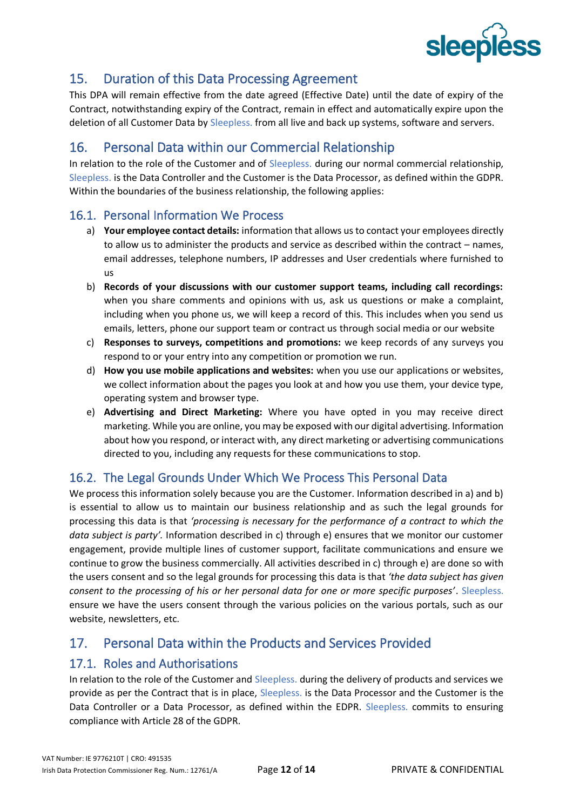

#### <span id="page-10-0"></span>15. Duration of this Data Processing Agreement

This DPA will remain effective from the date agreed (Effective Date) until the date of expiry of the Contract, notwithstanding expiry of the Contract, remain in effect and automatically expire upon the deletion of all Customer Data by Sleepless. from all live and back up systems, software and servers.

### <span id="page-10-1"></span>16. Personal Data within our Commercial Relationship

In relation to the role of the Customer and of Sleepless. during our normal commercial relationship, Sleepless. is the Data Controller and the Customer is the Data Processor, as defined within the GDPR. Within the boundaries of the business relationship, the following applies:

#### <span id="page-10-2"></span>16.1. Personal Information We Process

- a) **Your employee contact details:** information that allows us to contact your employees directly to allow us to administer the products and service as described within the contract – names, email addresses, telephone numbers, IP addresses and User credentials where furnished to us
- b) **Records of your discussions with our customer support teams, including call recordings:**  when you share comments and opinions with us, ask us questions or make a complaint, including when you phone us, we will keep a record of this. This includes when you send us emails, letters, phone our support team or contract us through social media or our website
- c) **Responses to surveys, competitions and promotions:** we keep records of any surveys you respond to or your entry into any competition or promotion we run.
- d) **How you use mobile applications and websites:** when you use our applications or websites, we collect information about the pages you look at and how you use them, your device type, operating system and browser type.
- e) **Advertising and Direct Marketing:** Where you have opted in you may receive direct marketing. While you are online, you may be exposed with our digital advertising. Information about how you respond, or interact with, any direct marketing or advertising communications directed to you, including any requests for these communications to stop.

#### <span id="page-10-3"></span>16.2. The Legal Grounds Under Which We Process This Personal Data

We process this information solely because you are the Customer. Information described in a) and b) is essential to allow us to maintain our business relationship and as such the legal grounds for processing this data is that *'processing is necessary for the performance of a contract to which the data subject is party'.* Information described in c) through e) ensures that we monitor our customer engagement, provide multiple lines of customer support, facilitate communications and ensure we continue to grow the business commercially. All activities described in c) through e) are done so with the users consent and so the legal grounds for processing this data is that *'the data subject has given consent to the processing of his or her personal data for one or more specific purposes'*. Sleepless. ensure we have the users consent through the various policies on the various portals, such as our website, newsletters, etc.

#### <span id="page-10-4"></span>17. Personal Data within the Products and Services Provided

#### <span id="page-10-5"></span>17.1. Roles and Authorisations

In relation to the role of the Customer and Sleepless. during the delivery of products and services we provide as per the Contract that is in place, Sleepless. is the Data Processor and the Customer is the Data Controller or a Data Processor, as defined within the EDPR. Sleepless. commits to ensuring compliance with Article 28 of the GDPR.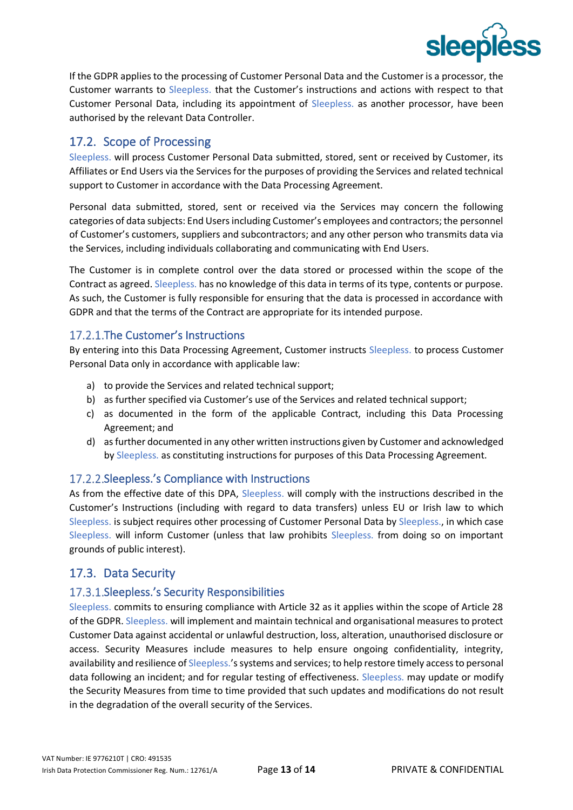

If the GDPR applies to the processing of Customer Personal Data and the Customer is a processor, the Customer warrants to Sleepless. that the Customer's instructions and actions with respect to that Customer Personal Data, including its appointment of Sleepless. as another processor, have been authorised by the relevant Data Controller.

#### <span id="page-11-0"></span>17.2. Scope of Processing

Sleepless. will process Customer Personal Data submitted, stored, sent or received by Customer, its Affiliates or End Users via the Services for the purposes of providing the Services and related technical support to Customer in accordance with the Data Processing Agreement.

Personal data submitted, stored, sent or received via the Services may concern the following categories of data subjects: End Users including Customer's employees and contractors; the personnel of Customer's customers, suppliers and subcontractors; and any other person who transmits data via the Services, including individuals collaborating and communicating with End Users.

The Customer is in complete control over the data stored or processed within the scope of the Contract as agreed. Sleepless. has no knowledge of this data in terms of its type, contents or purpose. As such, the Customer is fully responsible for ensuring that the data is processed in accordance with GDPR and that the terms of the Contract are appropriate for its intended purpose.

#### 17.2.1. The Customer's Instructions

By entering into this Data Processing Agreement, Customer instructs Sleepless. to process Customer Personal Data only in accordance with applicable law:

- a) to provide the Services and related technical support;
- b) as further specified via Customer's use of the Services and related technical support;
- c) as documented in the form of the applicable Contract, including this Data Processing Agreement; and
- d) as further documented in any other written instructions given by Customer and acknowledged by Sleepless. as constituting instructions for purposes of this Data Processing Agreement.

#### 17.2.2. Sleepless.'s Compliance with Instructions

As from the effective date of this DPA, Sleepless. will comply with the instructions described in the Customer's Instructions (including with regard to data transfers) unless EU or Irish law to which Sleepless. is subject requires other processing of Customer Personal Data by Sleepless., in which case Sleepless. will inform Customer (unless that law prohibits Sleepless. from doing so on important grounds of public interest).

#### <span id="page-11-1"></span>17.3. Data Security

#### 17.3.1. Sleepless.'s Security Responsibilities

Sleepless. commits to ensuring compliance with Article 32 as it applies within the scope of Article 28 of the GDPR. Sleepless. will implement and maintain technical and organisational measures to protect Customer Data against accidental or unlawful destruction, loss, alteration, unauthorised disclosure or access. Security Measures include measures to help ensure ongoing confidentiality, integrity, availability and resilience of Sleepless.'ssystems and services; to help restore timely access to personal data following an incident; and for regular testing of effectiveness. Sleepless. may update or modify the Security Measures from time to time provided that such updates and modifications do not result in the degradation of the overall security of the Services.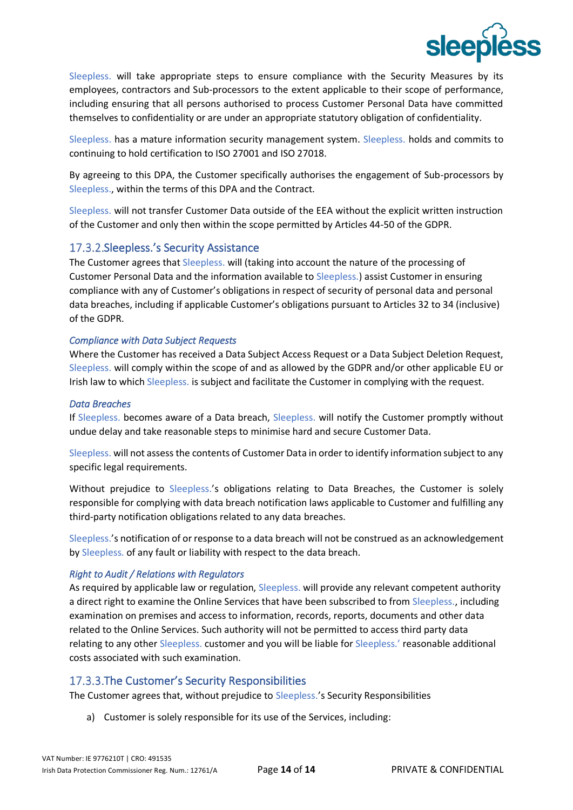

Sleepless. will take appropriate steps to ensure compliance with the Security Measures by its employees, contractors and Sub-processors to the extent applicable to their scope of performance, including ensuring that all persons authorised to process Customer Personal Data have committed themselves to confidentiality or are under an appropriate statutory obligation of confidentiality.

Sleepless. has a mature information security management system. Sleepless. holds and commits to continuing to hold certification to ISO 27001 and ISO 27018.

By agreeing to this DPA, the Customer specifically authorises the engagement of Sub-processors by Sleepless., within the terms of this DPA and the Contract.

Sleepless. will not transfer Customer Data outside of the EEA without the explicit written instruction of the Customer and only then within the scope permitted by Articles 44-50 of the GDPR.

#### 17.3.2. Sleepless.'s Security Assistance

The Customer agrees that Sleepless. will (taking into account the nature of the processing of Customer Personal Data and the information available to Sleepless.) assist Customer in ensuring compliance with any of Customer's obligations in respect of security of personal data and personal data breaches, including if applicable Customer's obligations pursuant to Articles 32 to 34 (inclusive) of the GDPR.

#### *Compliance with Data Subject Requests*

Where the Customer has received a Data Subject Access Request or a Data Subject Deletion Request, Sleepless. will comply within the scope of and as allowed by the GDPR and/or other applicable EU or Irish law to which Sleepless. is subject and facilitate the Customer in complying with the request.

#### *Data Breaches*

If Sleepless. becomes aware of a Data breach, Sleepless. will notify the Customer promptly without undue delay and take reasonable steps to minimise hard and secure Customer Data.

Sleepless. will not assess the contents of Customer Data in order to identify information subject to any specific legal requirements.

Without prejudice to Sleepless.'s obligations relating to Data Breaches, the Customer is solely responsible for complying with data breach notification laws applicable to Customer and fulfilling any third-party notification obligations related to any data breaches.

Sleepless.'s notification of or response to a data breach will not be construed as an acknowledgement by Sleepless. of any fault or liability with respect to the data breach.

#### *Right to Audit / Relations with Regulators*

As required by applicable law or regulation, Sleepless. will provide any relevant competent authority a direct right to examine the Online Services that have been subscribed to from Sleepless., including examination on premises and access to information, records, reports, documents and other data related to the Online Services. Such authority will not be permitted to access third party data relating to any other Sleepless. customer and you will be liable for Sleepless.' reasonable additional costs associated with such examination.

#### 17.3.3. The Customer's Security Responsibilities

The Customer agrees that, without prejudice to Sleepless.'s Security Responsibilities

a) Customer is solely responsible for its use of the Services, including: